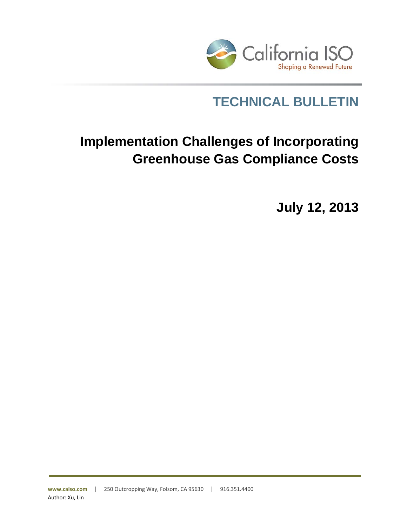

## **TECHNICAL BULLETIN**

# **Implementation Challenges of Incorporating Greenhouse Gas Compliance Costs**

**July 12, 2013**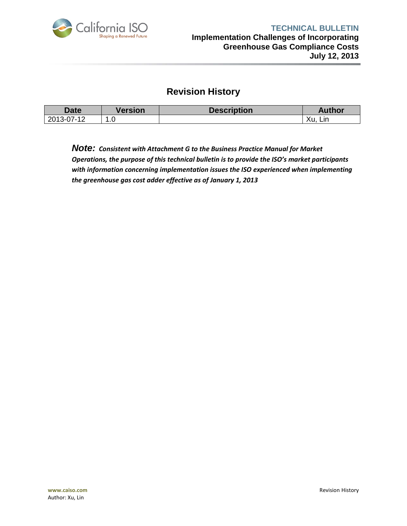

#### **Revision History**

| Date       | <b>Version</b>                  | <b>Description</b> | Author    |
|------------|---------------------------------|--------------------|-----------|
| 2013-07-12 | $\sim$<br>$\overline{ }$<br>. u |                    | Xu<br>Lın |

*Note: Consistent with Attachment G to the Business Practice Manual for Market Operations, the purpose of this technical bulletin is to provide the ISO's market participants with information concerning implementation issues the ISO experienced when implementing the greenhouse gas cost adder effective as of January 1, 2013*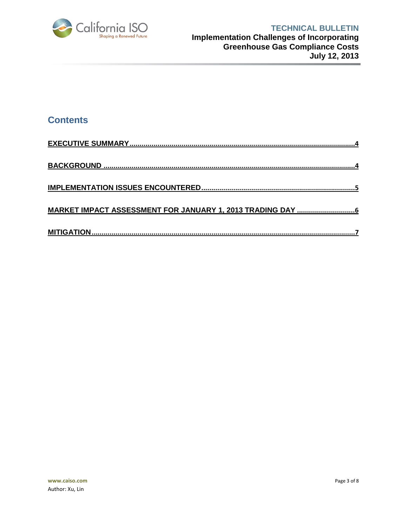

### **Contents**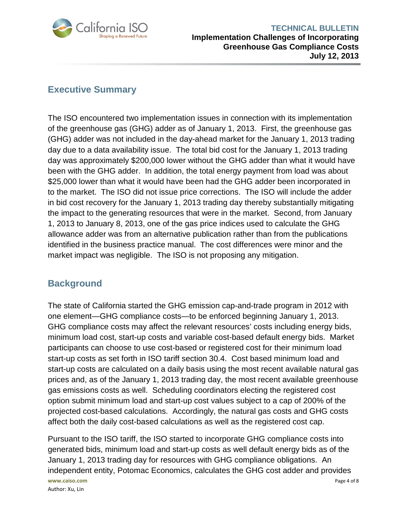

#### **TECHNICAL BULLETIN Implementation Challenges of Incorporating Greenhouse Gas Compliance Costs July 12, 2013**

#### <span id="page-3-0"></span>**Executive Summary**

The ISO encountered two implementation issues in connection with its implementation of the greenhouse gas (GHG) adder as of January 1, 2013. First, the greenhouse gas (GHG) adder was not included in the day-ahead market for the January 1, 2013 trading day due to a data availability issue. The total bid cost for the January 1, 2013 trading day was approximately \$200,000 lower without the GHG adder than what it would have been with the GHG adder. In addition, the total energy payment from load was about \$25,000 lower than what it would have been had the GHG adder been incorporated in to the market. The ISO did not issue price corrections. The ISO will include the adder in bid cost recovery for the January 1, 2013 trading day thereby substantially mitigating the impact to the generating resources that were in the market. Second, from January 1, 2013 to January 8, 2013, one of the gas price indices used to calculate the GHG allowance adder was from an alternative publication rather than from the publications identified in the business practice manual. The cost differences were minor and the market impact was negligible. The ISO is not proposing any mitigation.

#### <span id="page-3-1"></span>**Background**

The state of California started the GHG emission cap-and-trade program in 2012 with one element—GHG compliance costs—to be enforced beginning January 1, 2013. GHG compliance costs may affect the relevant resources' costs including energy bids, minimum load cost, start-up costs and variable cost-based default energy bids. Market participants can choose to use cost-based or registered cost for their minimum load start-up costs as set forth in ISO tariff section 30.4. Cost based minimum load and start-up costs are calculated on a daily basis using the most recent available natural gas prices and, as of the January 1, 2013 trading day, the most recent available greenhouse gas emissions costs as well. Scheduling coordinators electing the registered cost option submit minimum load and start-up cost values subject to a cap of 200% of the projected cost-based calculations. Accordingly, the natural gas costs and GHG costs affect both the daily cost-based calculations as well as the registered cost cap.

**www.caiso.com** Page 4 of 8 Author: Xu, Lin Pursuant to the ISO tariff, the ISO started to incorporate GHG compliance costs into generated bids, minimum load and start-up costs as well default energy bids as of the January 1, 2013 trading day for resources with GHG compliance obligations. An independent entity, Potomac Economics, calculates the GHG cost adder and provides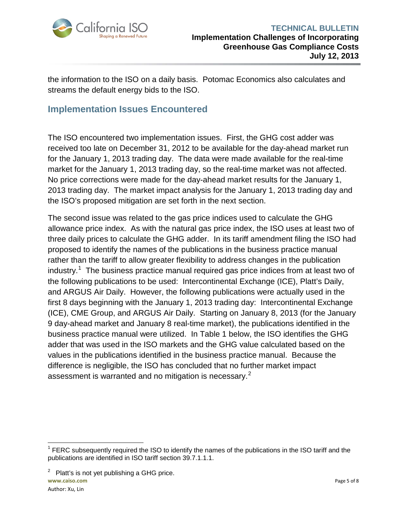

the information to the ISO on a daily basis. Potomac Economics also calculates and streams the default energy bids to the ISO.

#### <span id="page-4-0"></span>**Implementation Issues Encountered**

The ISO encountered two implementation issues. First, the GHG cost adder was received too late on December 31, 2012 to be available for the day-ahead market run for the January 1, 2013 trading day. The data were made available for the real-time market for the January 1, 2013 trading day, so the real-time market was not affected. No price corrections were made for the day-ahead market results for the January 1, 2013 trading day. The market impact analysis for the January 1, 2013 trading day and the ISO's proposed mitigation are set forth in the next section.

The second issue was related to the gas price indices used to calculate the GHG allowance price index. As with the natural gas price index, the ISO uses at least two of three daily prices to calculate the GHG adder. In its tariff amendment filing the ISO had proposed to identify the names of the publications in the business practice manual rather than the tariff to allow greater flexibility to address changes in the publication industry.<sup>[1](#page-4-1)</sup> The business practice manual required gas price indices from at least two of the following publications to be used: Intercontinental Exchange (ICE), Platt's Daily, and ARGUS Air Daily. However, the following publications were actually used in the first 8 days beginning with the January 1, 2013 trading day: Intercontinental Exchange (ICE), CME Group, and ARGUS Air Daily. Starting on January 8, 2013 (for the January 9 day-ahead market and January 8 real-time market), the publications identified in the business practice manual were utilized. In Table 1 below, the ISO identifies the GHG adder that was used in the ISO markets and the GHG value calculated based on the values in the publications identified in the business practice manual. Because the difference is negligible, the ISO has concluded that no further market impact assessment is warranted and no mitigation is necessary.<sup>[2](#page-4-2)</sup>

<span id="page-4-2"></span>**www.caiso.com** Page 5 of 8  $2$  Platt's is not yet publishing a GHG price.

<span id="page-4-1"></span> $1$  FERC subsequently required the ISO to identify the names of the publications in the ISO tariff and the publications are identified in ISO tariff section 39.7.1.1.1.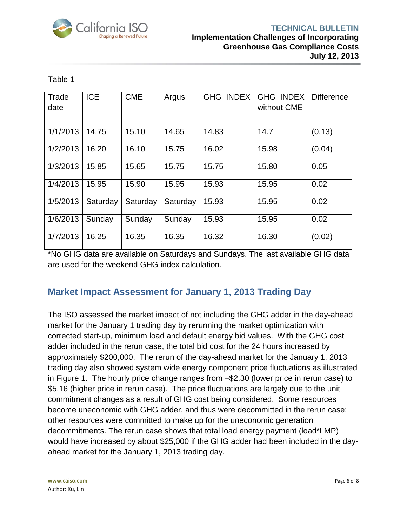

| able |  |
|------|--|
|------|--|

| Trade    | <b>ICE</b> | <b>CME</b> | Argus    | <b>GHG INDEX</b> | GHG_INDEX   | <b>Difference</b> |
|----------|------------|------------|----------|------------------|-------------|-------------------|
| date     |            |            |          |                  | without CME |                   |
|          |            |            |          |                  |             |                   |
| 1/1/2013 | 14.75      | 15.10      | 14.65    | 14.83            | 14.7        | (0.13)            |
| 1/2/2013 | 16.20      | 16.10      | 15.75    | 16.02            | 15.98       | (0.04)            |
| 1/3/2013 | 15.85      | 15.65      | 15.75    | 15.75            | 15.80       | 0.05              |
| 1/4/2013 | 15.95      | 15.90      | 15.95    | 15.93            | 15.95       | 0.02              |
| 1/5/2013 | Saturday   | Saturday   | Saturday | 15.93            | 15.95       | 0.02              |
| 1/6/2013 | Sunday     | Sunday     | Sunday   | 15.93            | 15.95       | 0.02              |
| 1/7/2013 | 16.25      | 16.35      | 16.35    | 16.32            | 16.30       | (0.02)            |

\*No GHG data are available on Saturdays and Sundays. The last available GHG data are used for the weekend GHG index calculation.

### <span id="page-5-0"></span>**Market Impact Assessment for January 1, 2013 Trading Day**

The ISO assessed the market impact of not including the GHG adder in the day-ahead market for the January 1 trading day by rerunning the market optimization with corrected start-up, minimum load and default energy bid values. With the GHG cost adder included in the rerun case, the total bid cost for the 24 hours increased by approximately \$200,000. The rerun of the day-ahead market for the January 1, 2013 trading day also showed system wide energy component price fluctuations as illustrated in [Figure 1.](#page-6-1) The hourly price change ranges from –\$2.30 (lower price in rerun case) to \$5.16 (higher price in rerun case). The price fluctuations are largely due to the unit commitment changes as a result of GHG cost being considered. Some resources become uneconomic with GHG adder, and thus were decommitted in the rerun case; other resources were committed to make up for the uneconomic generation decommitments. The rerun case shows that total load energy payment (load\*LMP) would have increased by about \$25,000 if the GHG adder had been included in the dayahead market for the January 1, 2013 trading day.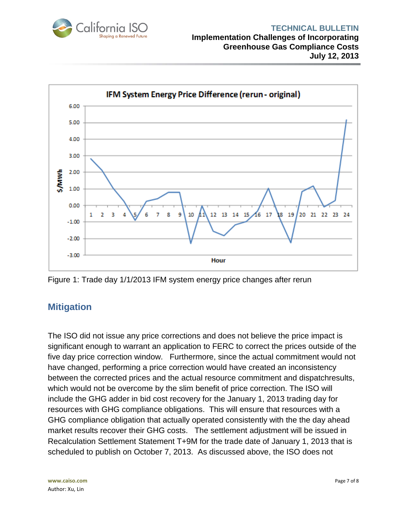



<span id="page-6-1"></span>Figure 1: Trade day 1/1/2013 IFM system energy price changes after rerun

#### <span id="page-6-0"></span>**Mitigation**

The ISO did not issue any price corrections and does not believe the price impact is significant enough to warrant an application to FERC to correct the prices outside of the five day price correction window. Furthermore, since the actual commitment would not have changed, performing a price correction would have created an inconsistency between the corrected prices and the actual resource commitment and dispatchresults, which would not be overcome by the slim benefit of price correction. The ISO will include the GHG adder in bid cost recovery for the January 1, 2013 trading day for resources with GHG compliance obligations. This will ensure that resources with a GHG compliance obligation that actually operated consistently with the the day ahead market results recover their GHG costs. The settlement adjustment will be issued in Recalculation Settlement Statement T+9M for the trade date of January 1, 2013 that is scheduled to publish on October 7, 2013. As discussed above, the ISO does not